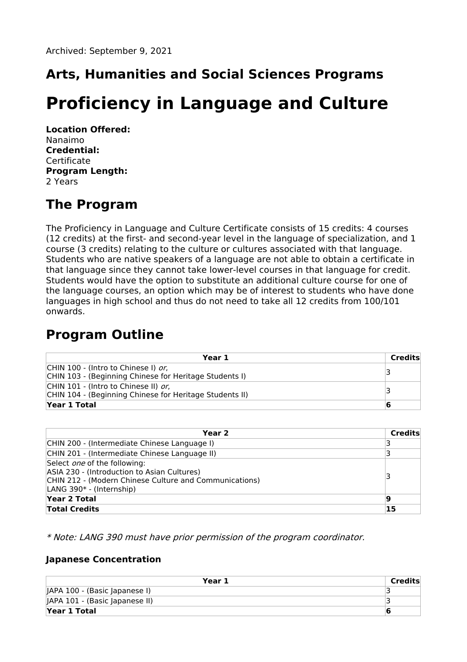# **Arts, Humanities and Social Sciences Programs**

# **Proficiency in Language and Culture**

**Location Offered:** Nanaimo **Credential:** Certificate **Program Length:** 2 Years

## **The Program**

The Proficiency in Language and Culture Certificate consists of 15 credits: 4 courses (12 credits) at the first- and second-year level in the language of specialization, and 1 course (3 credits) relating to the culture or cultures associated with that language. Students who are native speakers of a language are not able to obtain a certificate in that language since they cannot take lower-level courses in that language for credit. Students would have the option to substitute an additional culture course for one of the language courses, an option which may be of interest to students who have done languages in high school and thus do not need to take all 12 credits from 100/101 onwards.

## **Program Outline**

| Year 1                                                  | Credits |
|---------------------------------------------------------|---------|
| CHIN 100 - (Intro to Chinese I) <i>or.</i>              |         |
| CHIN 103 - (Beginning Chinese for Heritage Students I)  |         |
| CHIN 101 - (Intro to Chinese II) <i>or.</i>             |         |
| CHIN 104 - (Beginning Chinese for Heritage Students II) |         |
| Year 1 Total                                            | 6       |

| Year 2                                                                                                                                                                   | Credits |
|--------------------------------------------------------------------------------------------------------------------------------------------------------------------------|---------|
| CHIN 200 - (Intermediate Chinese Language I)                                                                                                                             |         |
| CHIN 201 - (Intermediate Chinese Language II)                                                                                                                            |         |
| Select <i>one</i> of the following:<br>ASIA 230 - (Introduction to Asian Cultures)<br>CHIN 212 - (Modern Chinese Culture and Communications)<br>LANG 390* - (Internship) |         |
| Year 2 Total                                                                                                                                                             | 19      |
| <b>Total Credits</b>                                                                                                                                                     | 15      |

\* Note: LANG 390 must have prior permission of the program coordinator.

#### **Japanese Concentration**

| Year 1                         | Credits |
|--------------------------------|---------|
| JAPA 100 - (Basic Japanese I)  |         |
| JAPA 101 - (Basic Japanese II) |         |
| Year 1 Total                   |         |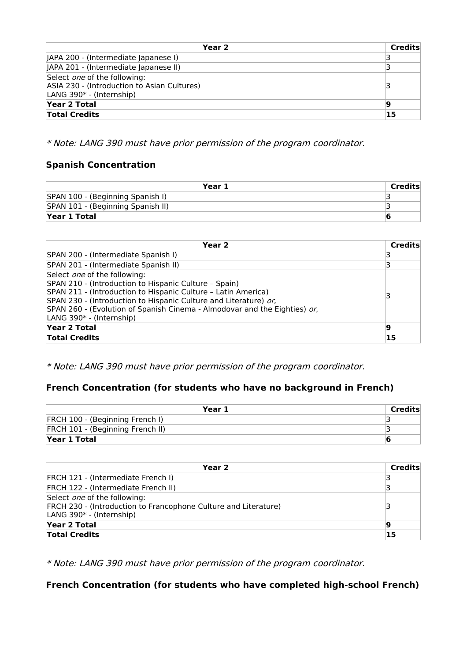| Year 2                                                                                                                     | <b>Credits</b> |
|----------------------------------------------------------------------------------------------------------------------------|----------------|
| JAPA 200 - (Intermediate Japanese I)                                                                                       |                |
| JAPA 201 - (Intermediate Japanese II)                                                                                      |                |
| Select <i>one</i> of the following:<br>ASIA 230 - (Introduction to Asian Cultures)<br>LANG 390 <sup>*</sup> - (Internship) |                |
| Year 2 Total                                                                                                               | 19             |
| <b>Total Credits</b>                                                                                                       | 15             |

\* Note: LANG 390 must have prior permission of the program coordinator.

### **Spanish Concentration**

| Year 1                            | Credits |
|-----------------------------------|---------|
| SPAN 100 - (Beginning Spanish I)  |         |
| SPAN 101 - (Beginning Spanish II) |         |
| Year 1 Total                      | ю       |

| Year 2                                                                                                                                                                                                                                                                                                                                     | Credits |
|--------------------------------------------------------------------------------------------------------------------------------------------------------------------------------------------------------------------------------------------------------------------------------------------------------------------------------------------|---------|
| SPAN 200 - (Intermediate Spanish I)                                                                                                                                                                                                                                                                                                        |         |
| SPAN 201 - (Intermediate Spanish II)                                                                                                                                                                                                                                                                                                       |         |
| Select <i>one</i> of the following:<br>SPAN 210 - (Introduction to Hispanic Culture - Spain)<br>SPAN 211 - (Introduction to Hispanic Culture - Latin America)<br>SPAN 230 - (Introduction to Hispanic Culture and Literature) or,<br>SPAN 260 - (Evolution of Spanish Cinema - Almodovar and the Eighties) or,<br>LANG 390* - (Internship) |         |
| Year 2 Total                                                                                                                                                                                                                                                                                                                               | 19      |
| <b>Total Credits</b>                                                                                                                                                                                                                                                                                                                       | 15      |

\* Note: LANG 390 must have prior permission of the program coordinator.

### **French Concentration (for students who have no background in French)**

| Year 1                           | Credits |
|----------------------------------|---------|
| FRCH 100 - (Beginning French I)  |         |
| FRCH 101 - (Beginning French II) |         |
| <b>Year 1 Total</b>              |         |

| Year 2                                                                                                  | Credits |
|---------------------------------------------------------------------------------------------------------|---------|
| <b>FRCH 121 - (Intermediate French I)</b>                                                               |         |
| FRCH 122 - (Intermediate French II)                                                                     |         |
| Select <i>one</i> of the following:                                                                     |         |
| FRCH 230 - (Introduction to Francophone Culture and Literature)<br>LANG 390 <sup>*</sup> - (Internship) | З       |
| Year 2 Total                                                                                            | 19      |
| <b>Total Credits</b>                                                                                    | 15      |

\* Note: LANG 390 must have prior permission of the program coordinator.

**French Concentration (for students who have completed high-school French)**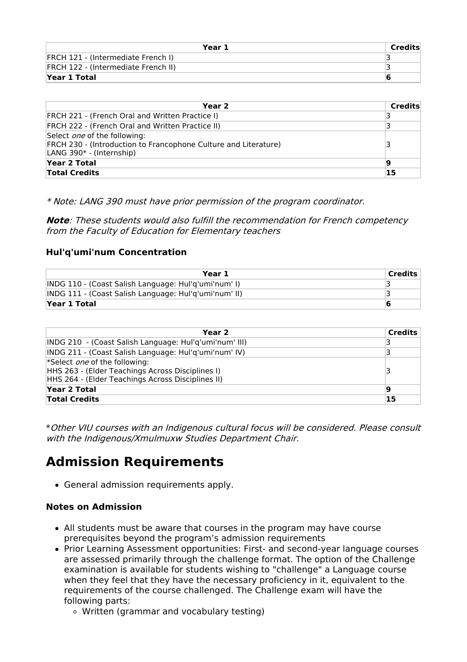| Year 1                                    | Credits |
|-------------------------------------------|---------|
| <b>FRCH 121 - (Intermediate French I)</b> |         |
| FRCH 122 - (Intermediate French II)       |         |
| Year 1 Total                              |         |

| Year 2                                                                                                                                         | Credits |
|------------------------------------------------------------------------------------------------------------------------------------------------|---------|
| <b>FRCH 221 - (French Oral and Written Practice I)</b>                                                                                         |         |
| <b>FRCH 222 - (French Oral and Written Practice II)</b>                                                                                        |         |
| Select <i>one</i> of the following:<br>FRCH 230 - (Introduction to Francophone Culture and Literature)<br>LANG 390 <sup>*</sup> - (Internship) |         |
| Year 2 Total                                                                                                                                   | 9       |
| <b>Total Credits</b>                                                                                                                           | 15      |

\* Note: LANG 390 must have prior permission of the program coordinator.

**Note**: These students would also fulfill the recommendation for French competency from the Faculty of Education for Elementary teachers

#### **Hul'q'umi'num Concentration**

| Year 1                                                | <b>Credits</b> |
|-------------------------------------------------------|----------------|
| INDG 110 - (Coast Salish Language: Hul'q'umi'num' I)  |                |
| INDG 111 - (Coast Salish Language: Hul'q'umi'num' II) |                |
| Year 1 Total                                          |                |

| Year 2                                                                                                                                        | <b>Credits</b> |
|-----------------------------------------------------------------------------------------------------------------------------------------------|----------------|
| INDG 210 - (Coast Salish Language: Hul'q'umi'num' III)                                                                                        | 3              |
| INDG 211 - (Coast Salish Language: Hul'g'umi'num' IV)                                                                                         |                |
| *Select <i>one</i> of the following:<br>HHS 263 - (Elder Teachings Across Disciplines I)<br>HHS 264 - (Elder Teachings Across Disciplines II) | З              |
| Year 2 Total                                                                                                                                  | 19             |
| <b>Total Credits</b>                                                                                                                          | 15             |

\*Other VIU courses with an Indigenous cultural focus will be considered. Please consult with the Indigenous/Xmulmuxw Studies Department Chair.

## **Admission Requirements**

General admission requirements apply.

#### **Notes on Admission**

- All students must be aware that courses in the program may have course prerequisites beyond the program's admission requirements
- Prior Learning Assessment opportunities: First- and second-year language courses are assessed primarily through the challenge format. The option of the Challenge examination is available for students wishing to "challenge" a Language course when they feel that they have the necessary proficiency in it, equivalent to the requirements of the course challenged. The Challenge exam will have the following parts:
	- Written (grammar and vocabulary testing)